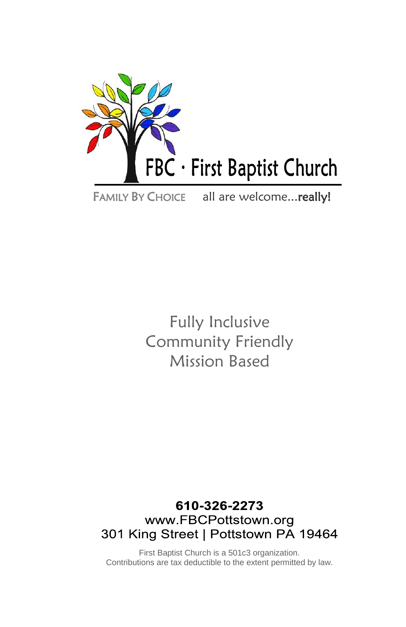

FAMILY BY CHOICE all are welcome... really!

Fully Inclusive Community Friendly Mission Based

## 610-326-2273 www.FBCPottstown.org 301 King Street | Pottstown PA 19464

First Baptist Church is a 501c3 organization. Contributions are tax deductible to the extent permitted by law.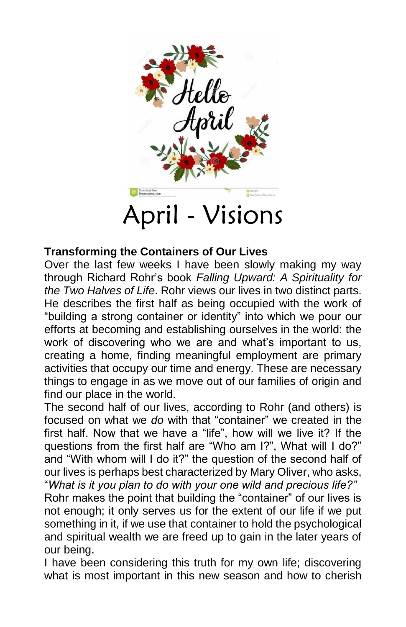

### **Transforming the Containers of Our Lives**

Over the last few weeks I have been slowly making my way through Richard Rohr's book *Falling Upward: A Spirituality for the Two Halves of Life*. Rohr views our lives in two distinct parts. He describes the first half as being occupied with the work of "building a strong container or identity" into which we pour our efforts at becoming and establishing ourselves in the world: the work of discovering who we are and what's important to us, creating a home, finding meaningful employment are primary activities that occupy our time and energy. These are necessary things to engage in as we move out of our families of origin and find our place in the world.

The second half of our lives, according to Rohr (and others) is focused on what we *do* with that "container" we created in the first half. Now that we have a "life", how will we live it? If the questions from the first half are "Who am I?", What will I do?" and "With whom will I do it?" the question of the second half of our lives is perhaps best characterized by Mary Oliver, who asks, "*What is it you plan to do with your one wild and precious life?"*

Rohr makes the point that building the "container" of our lives is not enough; it only serves us for the extent of our life if we put something in it, if we use that container to hold the psychological and spiritual wealth we are freed up to gain in the later years of our being.

I have been considering this truth for my own life; discovering what is most important in this new season and how to cherish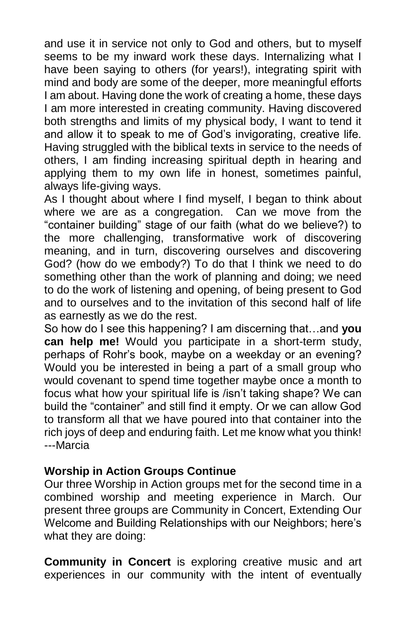and use it in service not only to God and others, but to myself seems to be my inward work these days. Internalizing what I have been saying to others (for years!), integrating spirit with mind and body are some of the deeper, more meaningful efforts I am about. Having done the work of creating a home, these days I am more interested in creating community. Having discovered both strengths and limits of my physical body, I want to tend it and allow it to speak to me of God's invigorating, creative life. Having struggled with the biblical texts in service to the needs of others, I am finding increasing spiritual depth in hearing and applying them to my own life in honest, sometimes painful, always life-giving ways.

As I thought about where I find myself, I began to think about where we are as a congregation. Can we move from the "container building" stage of our faith (what do we believe?) to the more challenging, transformative work of discovering meaning, and in turn, discovering ourselves and discovering God? (how do we embody?) To do that I think we need to do something other than the work of planning and doing; we need to do the work of listening and opening, of being present to God and to ourselves and to the invitation of this second half of life as earnestly as we do the rest.

So how do I see this happening? I am discerning that…and **you can help me!** Would you participate in a short-term study, perhaps of Rohr's book, maybe on a weekday or an evening? Would you be interested in being a part of a small group who would covenant to spend time together maybe once a month to focus what how your spiritual life is /isn't taking shape? We can build the "container" and still find it empty. Or we can allow God to transform all that we have poured into that container into the rich joys of deep and enduring faith. Let me know what you think! ---Marcia

## **Worship in Action Groups Continue**

Our three Worship in Action groups met for the second time in a combined worship and meeting experience in March. Our present three groups are Community in Concert, Extending Our Welcome and Building Relationships with our Neighbors; here's what they are doing:

**Community in Concert** is exploring creative music and art experiences in our community with the intent of eventually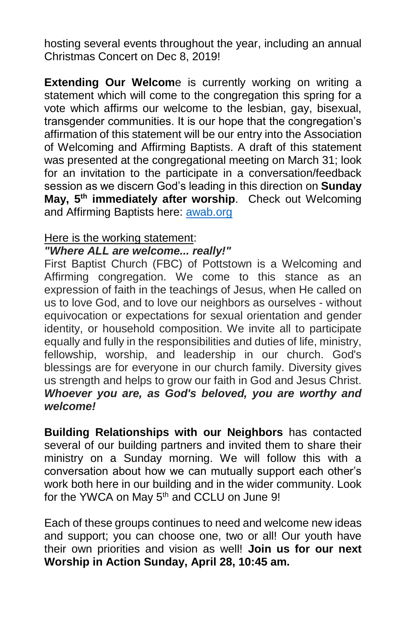hosting several events throughout the year, including an annual Christmas Concert on Dec 8, 2019!

**Extending Our Welcom**e is currently working on writing a statement which will come to the congregation this spring for a vote which affirms our welcome to the lesbian, gay, bisexual, transgender communities. It is our hope that the congregation's affirmation of this statement will be our entry into the Association of Welcoming and Affirming Baptists. A draft of this statement was presented at the congregational meeting on March 31; look for an invitation to the participate in a conversation/feedback session as we discern God's leading in this direction on **Sunday May, 5th immediately after worship**. Check out Welcoming and Affirming Baptists here: [awab.org](http://awab.org/)

#### Here is the working statement:

#### *"Where ALL are welcome... really!"*

First Baptist Church (FBC) of Pottstown is a Welcoming and Affirming congregation. We come to this stance as an expression of faith in the teachings of Jesus, when He called on us to love God, and to love our neighbors as ourselves - without equivocation or expectations for sexual orientation and gender identity, or household composition. We invite all to participate equally and fully in the responsibilities and duties of life, ministry, fellowship, worship, and leadership in our church. God's blessings are for everyone in our church family. Diversity gives us strength and helps to grow our faith in God and Jesus Christ. *Whoever you are, as God's beloved, you are worthy and welcome!*

**Building Relationships with our Neighbors** has contacted several of our building partners and invited them to share their ministry on a Sunday morning. We will follow this with a conversation about how we can mutually support each other's work both here in our building and in the wider community. Look for the YWCA on May 5<sup>th</sup> and CCLU on June 9!

Each of these groups continues to need and welcome new ideas and support; you can choose one, two or all! Our youth have their own priorities and vision as well! **Join us for our next Worship in Action Sunday, April 28, 10:45 am.**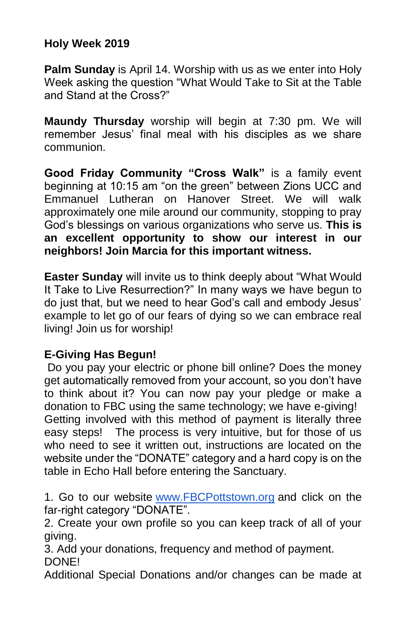## **Holy Week 2019**

**Palm Sunday** is April 14. Worship with us as we enter into Holy Week asking the question "What Would Take to Sit at the Table and Stand at the Cross?"

**Maundy Thursday** worship will begin at 7:30 pm. We will remember Jesus' final meal with his disciples as we share communion.

**Good Friday Community "Cross Walk"** is a family event beginning at 10:15 am "on the green" between Zions UCC and Emmanuel Lutheran on Hanover Street. We will walk approximately one mile around our community, stopping to pray God's blessings on various organizations who serve us. **This is an excellent opportunity to show our interest in our neighbors! Join Marcia for this important witness.**

**Easter Sunday** will invite us to think deeply about "What Would It Take to Live Resurrection?" In many ways we have begun to do just that, but we need to hear God's call and embody Jesus' example to let go of our fears of dying so we can embrace real living! Join us for worship!

## **E-Giving Has Begun!**

Do you pay your electric or phone bill online? Does the money get automatically removed from your account, so you don't have to think about it? You can now pay your pledge or make a donation to FBC using the same technology; we have e-giving! Getting involved with this method of payment is literally three easy steps! The process is very intuitive, but for those of us who need to see it written out, instructions are located on the website under the "DONATE" category and a hard copy is on the table in Echo Hall before entering the Sanctuary.

1. Go to our website [www.FBCPottstown.org](http://www.fbcpottstown.org/) and click on the far-right category "DONATE".

2. Create your own profile so you can keep track of all of your giving.

3. Add your donations, frequency and method of payment. DONE!

Additional Special Donations and/or changes can be made at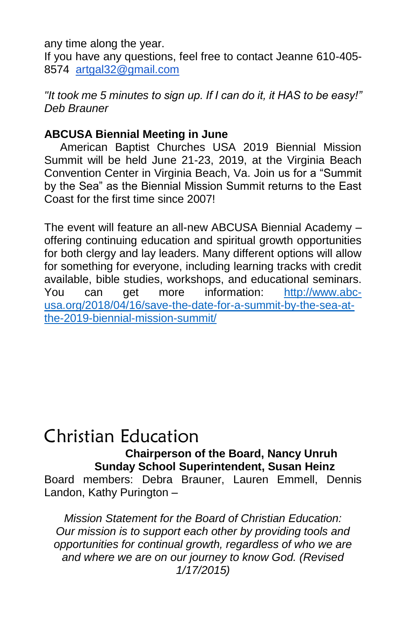any time along the year.

If you have any questions, feel free to contact Jeanne 610-405- 8574 [artgal32@gmail.com](mailto:artgal32@gmail.com)

*"It took me 5 minutes to sign up. If I can do it, it HAS to be easy!" Deb Brauner*

## **ABCUSA Biennial Meeting in June**

 American Baptist Churches USA 2019 Biennial Mission Summit will be held June 21-23, 2019, at the Virginia Beach Convention Center in Virginia Beach, Va. Join us for a "Summit by the Sea" as the Biennial Mission Summit returns to the East Coast for the first time since 2007!

The event will feature an all-new ABCUSA Biennial Academy – offering continuing education and spiritual growth opportunities for both clergy and lay leaders. Many different options will allow for something for everyone, including learning tracks with credit available, bible studies, workshops, and educational seminars. You can get more information: [http://www.abc](http://www.abc-usa.org/2018/04/16/save-the-date-for-a-summit-by-the-sea-at-the-2019-biennial-mission-summit/)[usa.org/2018/04/16/save-the-date-for-a-summit-by-the-sea-at](http://www.abc-usa.org/2018/04/16/save-the-date-for-a-summit-by-the-sea-at-the-2019-biennial-mission-summit/)[the-2019-biennial-mission-summit/](http://www.abc-usa.org/2018/04/16/save-the-date-for-a-summit-by-the-sea-at-the-2019-biennial-mission-summit/)

## Christian Education

 **Chairperson of the Board, Nancy Unruh Sunday School Superintendent, Susan Heinz**

Board members: Debra Brauner, Lauren Emmell, Dennis Landon, Kathy Purington –

*Mission Statement for the Board of Christian Education: Our mission is to support each other by providing tools and opportunities for continual growth, regardless of who we are and where we are on our journey to know God. (Revised 1/17/2015)*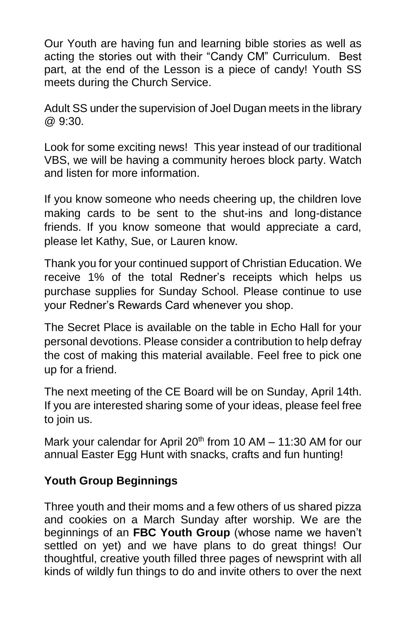Our Youth are having fun and learning bible stories as well as acting the stories out with their "Candy CM" Curriculum. Best part, at the end of the Lesson is a piece of candy! Youth SS meets during the Church Service.

Adult SS under the supervision of Joel Dugan meets in the library @ 9:30.

Look for some exciting news! This year instead of our traditional VBS, we will be having a community heroes block party. Watch and listen for more information.

If you know someone who needs cheering up, the children love making cards to be sent to the shut-ins and long-distance friends. If you know someone that would appreciate a card, please let Kathy, Sue, or Lauren know.

Thank you for your continued support of Christian Education. We receive 1% of the total Redner's receipts which helps us purchase supplies for Sunday School. Please continue to use your Redner's Rewards Card whenever you shop.

The Secret Place is available on the table in Echo Hall for your personal devotions. Please consider a contribution to help defray the cost of making this material available. Feel free to pick one up for a friend.

The next meeting of the CE Board will be on Sunday, April 14th. If you are interested sharing some of your ideas, please feel free to join us.

Mark your calendar for April  $20<sup>th</sup>$  from 10 AM – 11:30 AM for our annual Easter Egg Hunt with snacks, crafts and fun hunting!

## **Youth Group Beginnings**

Three youth and their moms and a few others of us shared pizza and cookies on a March Sunday after worship. We are the beginnings of an **FBC Youth Group** (whose name we haven't settled on yet) and we have plans to do great things! Our thoughtful, creative youth filled three pages of newsprint with all kinds of wildly fun things to do and invite others to over the next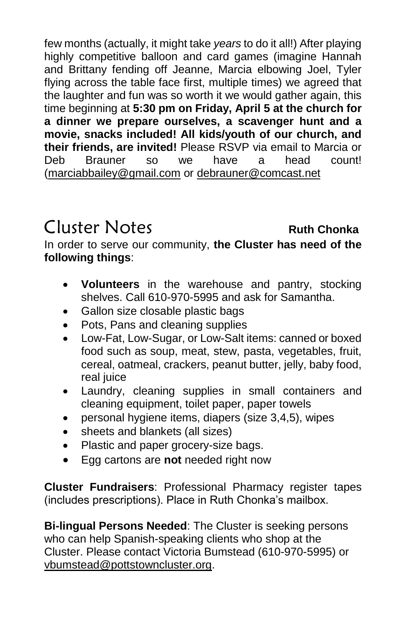few months (actually, it might take *years* to do it all!) After playing highly competitive balloon and card games (imagine Hannah and Brittany fending off Jeanne, Marcia elbowing Joel, Tyler flying across the table face first, multiple times) we agreed that the laughter and fun was so worth it we would gather again, this time beginning at **5:30 pm on Friday, April 5 at the church for a dinner we prepare ourselves, a scavenger hunt and a movie, snacks included! All kids/youth of our church, and their friends, are invited!** Please RSVP via email to Marcia or Deb Brauner so we have a head count! [\(marciabbailey@gmail.com](mailto:marciabbailey@gmail.com) or [debrauner@comcast.net](http://debrauner@comcast.net)

## Cluster Notes **Ruth Chonka**

In order to serve our community, **the Cluster has need of the following things**:

- **Volunteers** in the warehouse and pantry, stocking shelves. Call 610-970-5995 and ask for Samantha.
- Gallon size closable plastic bags
- Pots, Pans and cleaning supplies
- Low-Fat, Low-Sugar, or Low-Salt items: canned or boxed food such as soup, meat, stew, pasta, vegetables, fruit, cereal, oatmeal, crackers, peanut butter, jelly, baby food, real juice
- Laundry, cleaning supplies in small containers and cleaning equipment, toilet paper, paper towels
- personal hygiene items, diapers (size 3,4,5), wipes
- sheets and blankets (all sizes)
- Plastic and paper grocery-size bags.
- Egg cartons are **not** needed right now

**Cluster Fundraisers**: Professional Pharmacy register tapes (includes prescriptions). Place in Ruth Chonka's mailbox.

**Bi-lingual Persons Needed**: The Cluster is seeking persons who can help Spanish-speaking clients who shop at the Cluster. Please contact Victoria Bumstead (610-970-5995) or [vbumstead@pottstowncluster.org.](mailto:vbumstead@pottstowncluster.org)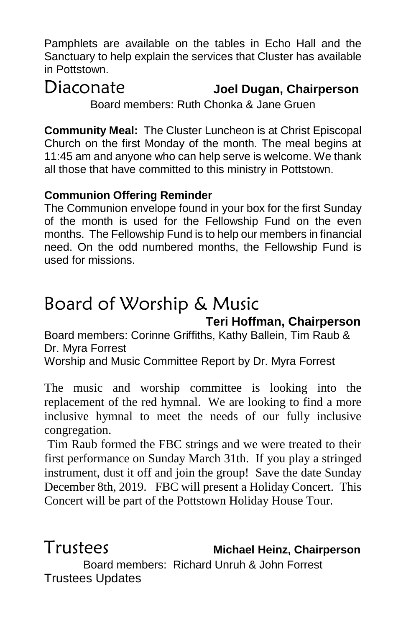Pamphlets are available on the tables in Echo Hall and the Sanctuary to help explain the services that Cluster has available in Pottstown.

# Diaconate **Joel Dugan, Chairperson**

Board members: Ruth Chonka & Jane Gruen

**Community Meal:** The Cluster Luncheon is at Christ Episcopal Church on the first Monday of the month. The meal begins at 11:45 am and anyone who can help serve is welcome. We thank all those that have committed to this ministry in Pottstown.

## **Communion Offering Reminder**

The Communion envelope found in your box for the first Sunday of the month is used for the Fellowship Fund on the even months. The Fellowship Fund is to help our members in financial need. On the odd numbered months, the Fellowship Fund is used for missions.

# Board of Worship & Music

## **Teri Hoffman, Chairperson**

Board members: Corinne Griffiths, Kathy Ballein, Tim Raub & Dr. Myra Forrest

Worship and Music Committee Report by Dr. Myra Forrest

The music and worship committee is looking into the replacement of the red hymnal. We are looking to find a more inclusive hymnal to meet the needs of our fully inclusive congregation.

Tim Raub formed the FBC strings and we were treated to their first performance on Sunday March 31th. If you play a stringed instrument, dust it off and join the group! Save the date Sunday December 8th, 2019. FBC will present a Holiday Concert. This Concert will be part of the Pottstown Holiday House Tour.

Trustees **Michael Heinz, Chairperson**

Board members: Richard Unruh & John Forrest Trustees Updates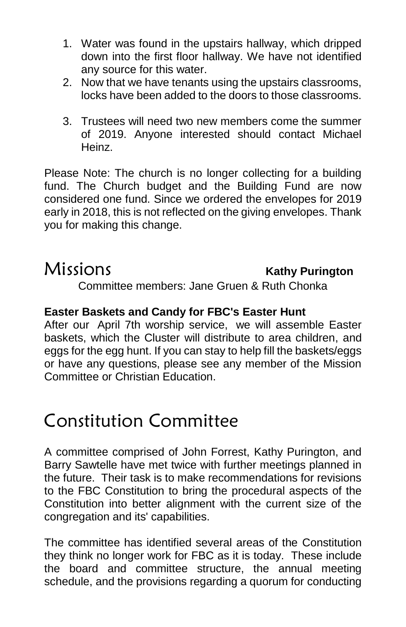- 1. Water was found in the upstairs hallway, which dripped down into the first floor hallway. We have not identified any source for this water.
- 2. Now that we have tenants using the upstairs classrooms, locks have been added to the doors to those classrooms.
- 3. Trustees will need two new members come the summer of 2019. Anyone interested should contact Michael Heinz.

Please Note: The church is no longer collecting for a building fund. The Church budget and the Building Fund are now considered one fund. Since we ordered the envelopes for 2019 early in 2018, this is not reflected on the giving envelopes. Thank you for making this change.

## Missions **Kathy Purington**

Committee members: Jane Gruen & Ruth Chonka

## **Easter Baskets and Candy for FBC's Easter Hunt**

After our April 7th worship service, we will assemble Easter baskets, which the Cluster will distribute to area children, and eggs for the egg hunt. If you can stay to help fill the baskets/eggs or have any questions, please see any member of the Mission Committee or Christian Education.

## Constitution Committee

A committee comprised of John Forrest, Kathy Purington, and Barry Sawtelle have met twice with further meetings planned in the future. Their task is to make recommendations for revisions to the FBC Constitution to bring the procedural aspects of the Constitution into better alignment with the current size of the congregation and its' capabilities.

The committee has identified several areas of the Constitution they think no longer work for FBC as it is today. These include the board and committee structure, the annual meeting schedule, and the provisions regarding a quorum for conducting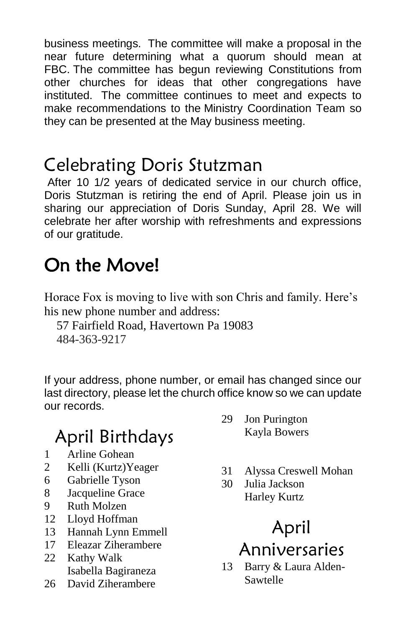business meetings. The committee will make a proposal in the near future determining what a quorum should mean at FBC. The committee has begun reviewing Constitutions from other churches for ideas that other congregations have instituted. The committee continues to meet and expects to make recommendations to the Ministry Coordination Team so they can be presented at the May business meeting.

## Celebrating Doris Stutzman

After 10 1/2 years of dedicated service in our church office, Doris Stutzman is retiring the end of April. Please join us in sharing our appreciation of Doris Sunday, April 28. We will celebrate her after worship with refreshments and expressions of our gratitude.

# On the Move!

Horace Fox is moving to live with son Chris and family. Here's his new phone number and address:

57 Fairfield Road, Havertown Pa 19083 484-363-9217

If your address, phone number, or email has changed since our last directory, please let the church office know so we can update our records.

# April Birthdays

- 1 Arline Gohean
- 2 Kelli (Kurtz)Yeager
- 6 Gabrielle Tyson
- 8 Jacqueline Grace
- 9 Ruth Molzen
- 12 Lloyd Hoffman
- 13 Hannah Lynn Emmell
- 17 Eleazar Ziherambere
- 22 Kathy Walk Isabella Bagiraneza
- 26 David Ziherambere
- 29 Jon Purington Kayla Bowers
- 31 Alyssa Creswell Mohan
- 30 Julia Jackson Harley Kurtz

# April Anniversaries

13 Barry & Laura Alden-Sawtelle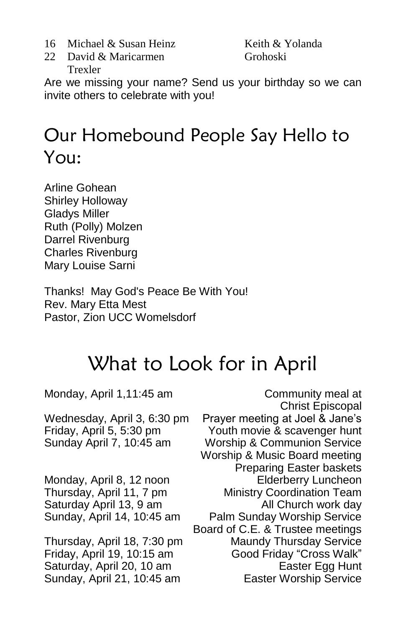- 16 Michael & Susan Heinz
- 22 David & Maricarmen Trexler

Keith & Yolanda Grohoski

Are we missing your name? Send us your birthday so we can invite others to celebrate with you!

# Our Homebound People Say Hello to You:

Arline Gohean Shirley Holloway Gladys Miller Ruth (Polly) Molzen Darrel Rivenburg Charles Rivenburg Mary Louise Sarni

Thanks! May God's Peace Be With You! Rev. Mary Etta Mest Pastor, Zion UCC Womelsdorf

# What to Look for in April

Monday, April 1,11:45 am Community meal at Christ Episcopal Wednesday, April 3, 6:30 pm Prayer meeting at Joel & Jane's Friday, April 5, 5:30 pm Youth movie & scavenger hunt Sunday April 7, 10:45 am Worship & Communion Service Worship & Music Board meeting Preparing Easter baskets Monday, April 8, 12 noon Elderberry Luncheon Thursday, April 11, 7 pm Ministry Coordination Team Saturday April 13, 9 am All Church work day Sunday, April 14, 10:45 am Palm Sunday Worship Service Board of C.E. & Trustee meetings Thursday, April 18, 7:30 pm Maundy Thursday Service Friday, April 19, 10:15 am Good Friday "Cross Walk" Saturday, April 20, 10 am Easter Egg Hunt Sunday, April 21, 10:45 am Easter Worship Service